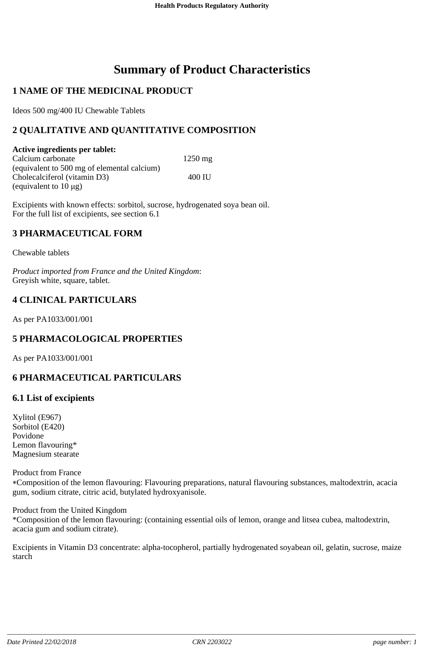# **Summary of Product Characteristics**

# **1 NAME OF THE MEDICINAL PRODUCT**

Ideos 500 mg/400 IU Chewable Tablets

# **2 QUALITATIVE AND QUANTITATIVE COMPOSITION**

**Active ingredients per tablet:** Calcium carbonate 1250 mg (equivalent to 500 mg of elemental calcium) Cholecalciferol (vitamin D3) 400 IU (equivalent to  $10 \mu g$ )

Excipients with known effects: sorbitol, sucrose, hydrogenated soya bean oil. For the full list of excipients, see section 6.1

## **3 PHARMACEUTICAL FORM**

Chewable tablets

*Product imported from France and the United Kingdom*: Greyish white, square, tablet.

## **4 CLINICAL PARTICULARS**

As per PA1033/001/001

# **5 PHARMACOLOGICAL PROPERTIES**

As per PA1033/001/001

# **6 PHARMACEUTICAL PARTICULARS**

#### **6.1 List of excipients**

Xylitol (E967) Sorbitol (E420) Povidone Lemon flavouring\* Magnesium stearate

Product from France

Composition of the lemon flavouring: Flavouring preparations, natural flavouring substances, maltodextrin, acacia gum, sodium citrate, citric acid, butylated hydroxyanisole.

Product from the United Kingdom \*Composition of the lemon flavouring: (containing essential oils of lemon, orange and litsea cubea, maltodextrin, acacia gum and sodium citrate).

Excipients in Vitamin D3 concentrate: alpha-tocopherol, partially hydrogenated soyabean oil, gelatin, sucrose, maize starch